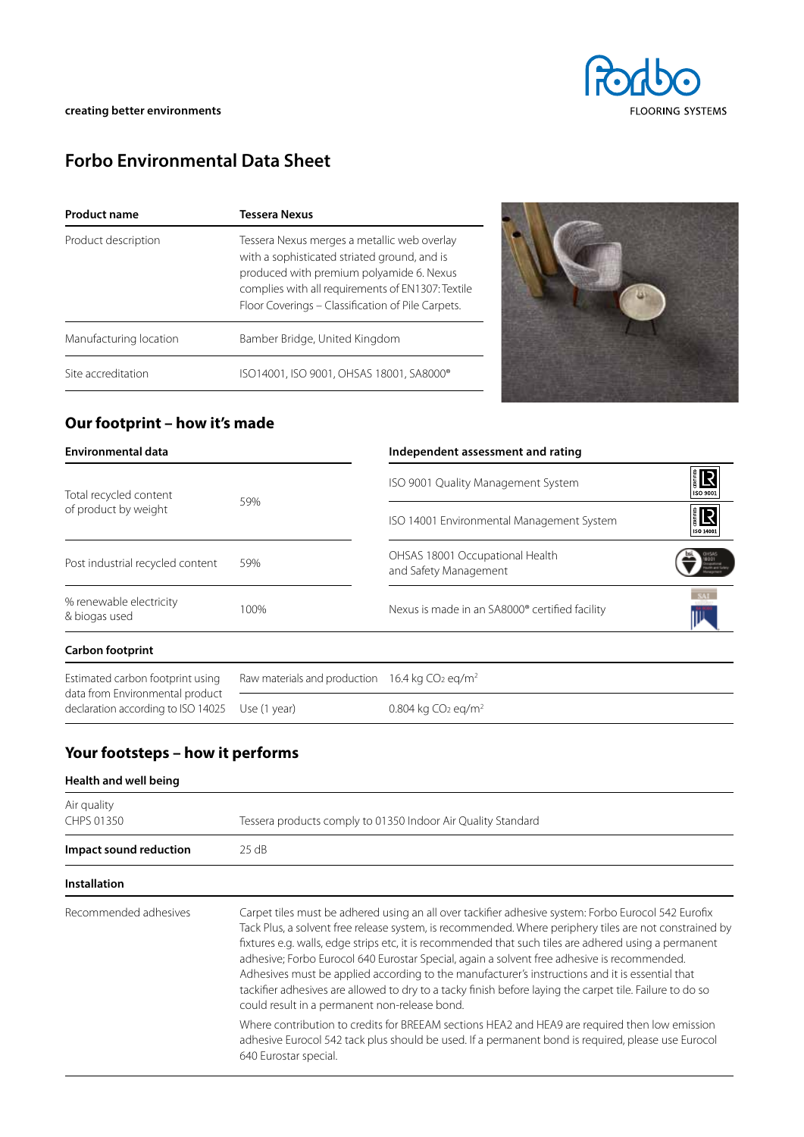# **Forbo Environmental Data Sheet**

| <b>Product name</b>    | <b>Tessera Nexus</b>                                                                                                                                                                                                                              |  |  |
|------------------------|---------------------------------------------------------------------------------------------------------------------------------------------------------------------------------------------------------------------------------------------------|--|--|
| Product description    | Tessera Nexus merges a metallic web overlay<br>with a sophisticated striated ground, and is<br>produced with premium polyamide 6. Nexus<br>complies with all requirements of EN1307: Textile<br>Floor Coverings - Classification of Pile Carpets. |  |  |
| Manufacturing location | Bamber Bridge, United Kingdom                                                                                                                                                                                                                     |  |  |
| Site accreditation     | ISO14001, ISO 9001, OHSAS 18001, SA8000®                                                                                                                                                                                                          |  |  |



## **Our footprint – how it's made**

| <b>Environmental data</b>                      |                                                                        | Independent assessment and rating                        |                 |
|------------------------------------------------|------------------------------------------------------------------------|----------------------------------------------------------|-----------------|
| Total recycled content<br>of product by weight | 59%                                                                    | ISO 9001 Quality Management System                       | R<br>ISO 9001   |
|                                                |                                                                        | ISO 14001 Environmental Management System                | ER<br>ISO 14001 |
| Post industrial recycled content               | 59%                                                                    | OHSAS 18001 Occupational Health<br>and Safety Management | <b>BOOT</b>     |
| % renewable electricity<br>& biogas used       | 100%                                                                   | Nexus is made in an SA8000® certified facility           | 5.41            |
| <b>Carbon footprint</b>                        |                                                                        |                                                          |                 |
| Estimated carbon footprint using               | Raw materials and production 16.4 kg CO <sub>2</sub> eq/m <sup>2</sup> |                                                          |                 |

data from Environmental product declaration according to ISO 14025 Use (1 year)

0.804 kg CO<sub>2</sub> eq/m<sup>2</sup>

## **Your footsteps – how it performs**

| Health and well being     |                                                                                                                                                                                                                                                                                                                                                                                                                                                                                                                                                                                                                                                                                                                                                                                                                                                                                                                        |
|---------------------------|------------------------------------------------------------------------------------------------------------------------------------------------------------------------------------------------------------------------------------------------------------------------------------------------------------------------------------------------------------------------------------------------------------------------------------------------------------------------------------------------------------------------------------------------------------------------------------------------------------------------------------------------------------------------------------------------------------------------------------------------------------------------------------------------------------------------------------------------------------------------------------------------------------------------|
| Air quality<br>CHPS 01350 | Tessera products comply to 01350 Indoor Air Quality Standard                                                                                                                                                                                                                                                                                                                                                                                                                                                                                                                                                                                                                                                                                                                                                                                                                                                           |
| Impact sound reduction    | $25 \text{ dB}$                                                                                                                                                                                                                                                                                                                                                                                                                                                                                                                                                                                                                                                                                                                                                                                                                                                                                                        |
| <b>Installation</b>       |                                                                                                                                                                                                                                                                                                                                                                                                                                                                                                                                                                                                                                                                                                                                                                                                                                                                                                                        |
| Recommended adhesives     | Carpet tiles must be adhered using an all over tackifier adhesive system: Forbo Eurocol 542 Eurofix<br>Tack Plus, a solvent free release system, is recommended. Where periphery tiles are not constrained by<br>fixtures e.g. walls, edge strips etc, it is recommended that such tiles are adhered using a permanent<br>adhesive; Forbo Eurocol 640 Eurostar Special, again a solvent free adhesive is recommended.<br>Adhesives must be applied according to the manufacturer's instructions and it is essential that<br>tackifier adhesives are allowed to dry to a tacky finish before laying the carpet tile. Failure to do so<br>could result in a permanent non-release bond.<br>Where contribution to credits for BREEAM sections HEA2 and HEA9 are required then low emission<br>adhesive Eurocol 542 tack plus should be used. If a permanent bond is required, please use Eurocol<br>640 Eurostar special. |